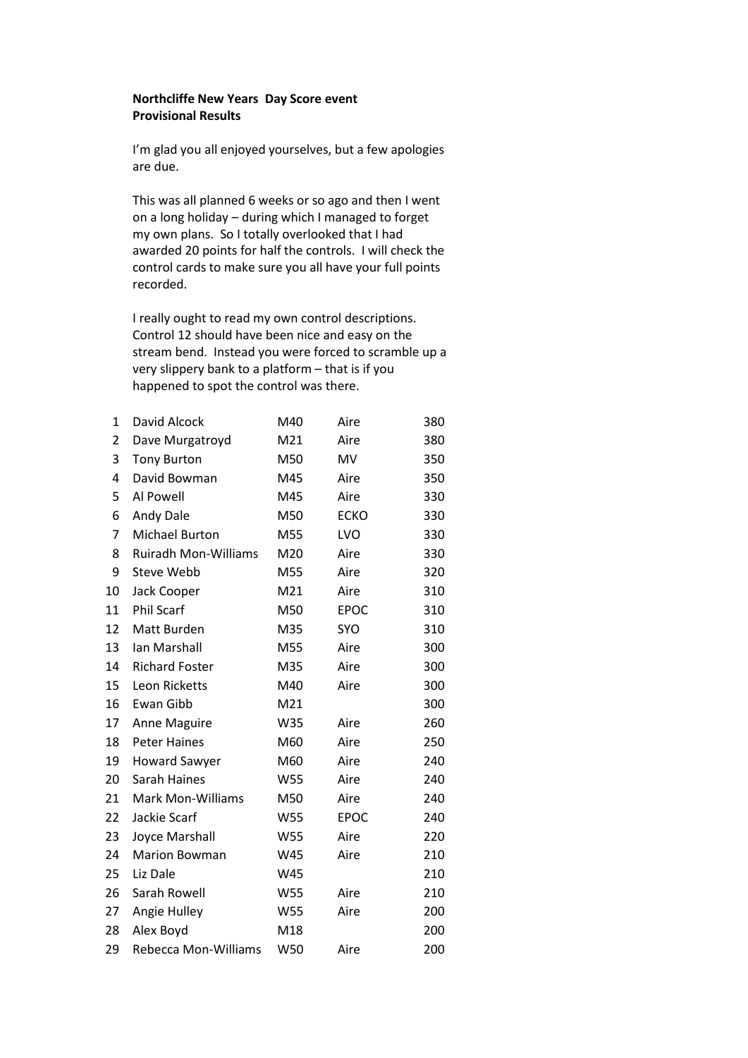## **Northcliffe New Years Day Score event Provisional Results**

I'm glad you all enjoyed yourselves, but a few apologies are due.

This was all planned 6 weeks or so ago and then I went on a long holiday – during which I managed to forget my own plans. So I totally overlooked that I had awarded 20 points for half the controls. I will check the control cards to make sure you all have your full points recorded.

I really ought to read my own control descriptions. Control 12 should have been nice and easy on the stream bend. Instead you were forced to scramble up a very slippery bank to a platform – that is if you happened to spot the control was there.

| $\mathbf{1}$ | David Alcock                | M40        | Aire        | 380 |
|--------------|-----------------------------|------------|-------------|-----|
| 2            | Dave Murgatroyd             | M21        | Aire        | 380 |
| 3            | <b>Tony Burton</b>          | M50        | MV          | 350 |
| 4            | David Bowman                | M45        | Aire        | 350 |
| 5            | Al Powell                   | M45        | Aire        | 330 |
| 6            | Andy Dale                   | M50        | <b>ECKO</b> | 330 |
| 7            | <b>Michael Burton</b>       | M55        | LVO         | 330 |
| 8            | <b>Ruiradh Mon-Williams</b> | M20        | Aire        | 330 |
| 9            | Steve Webb                  | M55        | Aire        | 320 |
| 10           | Jack Cooper                 | M21        | Aire        | 310 |
| 11           | <b>Phil Scarf</b>           | M50        | <b>EPOC</b> | 310 |
| 12           | Matt Burden                 | M35        | SYO         | 310 |
| 13           | Ian Marshall                | M55        | Aire        | 300 |
| 14           | <b>Richard Foster</b>       | M35        | Aire        | 300 |
| 15           | Leon Ricketts               | M40        | Aire        | 300 |
| 16           | Ewan Gibb                   | M21        |             | 300 |
| 17           | Anne Maguire                | W35        | Aire        | 260 |
| 18           | <b>Peter Haines</b>         | M60        | Aire        | 250 |
| 19           | <b>Howard Sawyer</b>        | M60        | Aire        | 240 |
| 20           | Sarah Haines                | <b>W55</b> | Aire        | 240 |
| 21           | <b>Mark Mon-Williams</b>    | M50        | Aire        | 240 |
| 22           | Jackie Scarf                | W55        | <b>EPOC</b> | 240 |
| 23           | Joyce Marshall              | W55        | Aire        | 220 |
| 24           | <b>Marion Bowman</b>        | W45        | Aire        | 210 |
| 25           | Liz Dale                    | W45        |             | 210 |
| 26           | Sarah Rowell                | W55        | Aire        | 210 |
| 27           | Angie Hulley                | W55        | Aire        | 200 |
| 28           | Alex Boyd                   | M18        |             | 200 |
| 29           | Rebecca Mon-Williams        | W50        | Aire        | 200 |